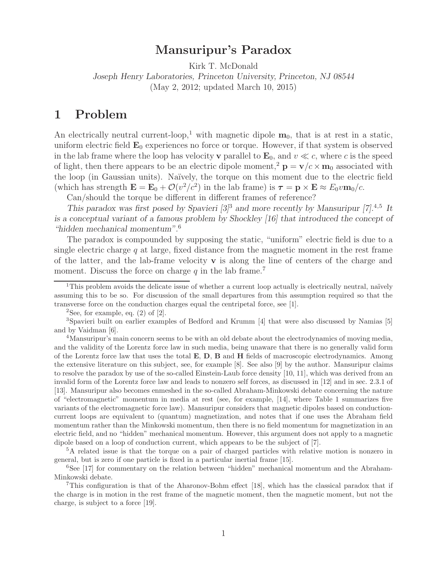## **Mansuripur's Paradox**

Kirk T. McDonald

*Joseph Henry Laboratories, Princeton University, Princeton, NJ 08544* (May 2, 2012; updated March 10, 2015)

## **1 Problem**

An electrically neutral current-loop,<sup>1</sup> with magnetic dipole  $m_0$ , that is at rest in a static, uniform electric field **E**<sup>0</sup> experiences no force or torque. However, if that system is observed in the lab frame where the loop has velocity **v** parallel to  $\mathbf{E}_0$ , and  $v \ll c$ , where c is the speed of light, then there appears to be an electric dipole moment,<sup>2</sup>  $\mathbf{p} = \mathbf{v}/c \times \mathbf{m}_0$  associated with the loop (in Gaussian units). Na¨ıvely, the torque on this moment due to the electric field (which has strength  $\mathbf{E} = \mathbf{E}_0 + \mathcal{O}(v^2/c^2)$  in the lab frame) is  $\tau = \mathbf{p} \times \mathbf{E} \approx E_0 v \mathbf{m}_0/c$ .

Can/should the torque be different in different frames of reference?

*This paradox was first posed by Spavieri [3]*<sup>3</sup> *and more recently by Mansuripur [7].*<sup>4</sup>*,*<sup>5</sup> *It is a conceptual variant of a famous problem by Shockley [16] that introduced the concept of "hidden mechanical momentum".*<sup>6</sup>

The paradox is compounded by supposing the static, "uniform" electric field is due to a single electric charge  $q$  at large, fixed distance from the magnetic moment in the rest frame of the latter, and the lab-frame velocity **v** is along the line of centers of the charge and moment. Discuss the force on charge q in the lab frame.<sup>7</sup>

<sup>&</sup>lt;sup>1</sup>This problem avoids the delicate issue of whether a current loop actually is electrically neutral, naïvely assuming this to be so. For discussion of the small departures from this assumption required so that the transverse force on the conduction charges equal the centripetal force, see [1].

<sup>&</sup>lt;sup>2</sup>See, for example, eq.  $(2)$  of  $[2]$ .

<sup>3</sup>Spavieri built on earlier examples of Bedford and Krumm [4] that were also discussed by Namias [5] and by Vaidman [6].

<sup>&</sup>lt;sup>4</sup>Mansuripur's main concern seems to be with an old debate about the electrodynamics of moving media, and the validity of the Lorentz force law in such media, being unaware that there is no generally valid form of the Lorentz force law that uses the total **E**, **D**, **B** and **H** fields of macroscopic electrodynamics. Among the extensive literature on this subject, see, for example [8]. See also [9] by the author. Mansuripur claims to resolve the paradox by use of the so-called Einstein-Laub force density [10, 11], which was derived from an invalid form of the Lorentz force law and leads to nonzero self forces, as discussed in [12] and in sec. 2.3.1 of [13]. Mansuripur also becomes enmeshed in the so-called Abraham-Minkowski debate concerning the nature of "electromagnetic" momentum in media at rest (see, for example, [14], where Table 1 summarizes five variants of the electromagnetic force law). Mansuripur considers that magnetic dipoles based on conductioncurrent loops are equivalent to (quantum) magnetization, and notes that if one uses the Abraham field momentum rather than the Minkowski momentum, then there is no field momentum for magnetization in an electric field, and no "hidden" mechanical momentum. However, this argument does not apply to a magnetic dipole based on a loop of conduction current, which appears to be the subject of [7].

<sup>5</sup>A related issue is that the torque on a pair of charged particles with relative motion is nonzero in general, but is zero if one particle is fixed in a particular inertial frame [15].

<sup>6</sup>See [17] for commentary on the relation between "hidden" mechanical momentum and the Abraham-Minkowski debate.

<sup>7</sup>This configuration is that of the Aharonov-Bohm effect [18], which has the classical paradox that if the charge is in motion in the rest frame of the magnetic moment, then the magnetic moment, but not the charge, is subject to a force [19].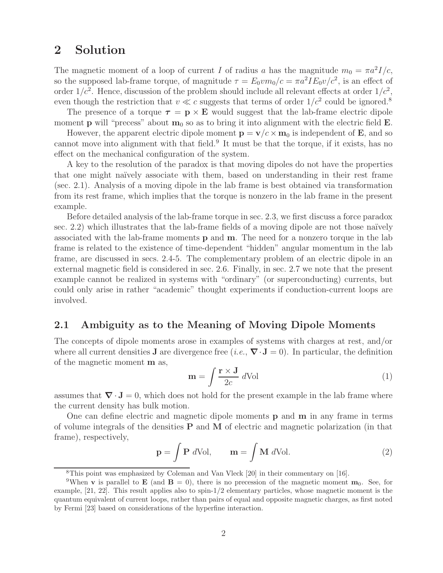## **2 Solution**

The magnetic moment of a loop of current I of radius a has the magnitude  $m_0 = \pi a^2 I/c$ , so the supposed lab-frame torque, of magnitude  $\tau = E_0 v m_0/c = \pi a^2 I E_0 v/c^2$ , is an effect of order  $1/c^2$ . Hence, discussion of the problem should include all relevant effects at order  $1/c^2$ , even though the restriction that  $v \ll c$  suggests that terms of order  $1/c^2$  could be ignored.<sup>8</sup>

The presence of a torque  $\tau = \mathbf{p} \times \mathbf{E}$  would suggest that the lab-frame electric dipole moment **p** will "precess" about  $\mathbf{m}_0$  so as to bring it into alignment with the electric field **E**.

However, the apparent electric dipole moment  $\mathbf{p} = \mathbf{v}/c \times \mathbf{m}_0$  is independent of **E**, and so cannot move into alignment with that field.<sup>9</sup> It must be that the torque, if it exists, has no effect on the mechanical configuration of the system.

A key to the resolution of the paradox is that moving dipoles do not have the properties that one might na¨ıvely associate with them, based on understanding in their rest frame (sec. 2.1). Analysis of a moving dipole in the lab frame is best obtained via transformation from its rest frame, which implies that the torque is nonzero in the lab frame in the present example.

Before detailed analysis of the lab-frame torque in sec. 2.3, we first discuss a force paradox sec.  $2.2$ ) which illustrates that the lab-frame fields of a moving dipole are not those naïvely associated with the lab-frame moments **p** and **m**. The need for a nonzero torque in the lab frame is related to the existence of time-dependent "hidden" angular momentum in the lab frame, are discussed in secs. 2.4-5. The complementary problem of an electric dipole in an external magnetic field is considered in sec. 2.6. Finally, in sec. 2.7 we note that the present example cannot be realized in systems with "ordinary" (or superconducting) currents, but could only arise in rather "academic" thought experiments if conduction-current loops are involved.

## **2.1 Ambiguity as to the Meaning of Moving Dipole Moments**

The concepts of dipole moments arose in examples of systems with charges at rest, and/or where all current densities **J** are divergence free (*i.e.*,  $\nabla \cdot \mathbf{J} = 0$ ). In particular, the definition of the magnetic moment **m** as,

$$
\mathbf{m} = \int \frac{\mathbf{r} \times \mathbf{J}}{2c} \, d\text{Vol} \tag{1}
$$

assumes that  $\nabla \cdot \mathbf{J} = 0$ , which does not hold for the present example in the lab frame where the current density has bulk motion.

One can define electric and magnetic dipole moments **p** and **m** in any frame in terms of volume integrals of the densities **P** and **M** of electric and magnetic polarization (in that frame), respectively,

$$
\mathbf{p} = \int \mathbf{P} \ d\text{Vol}, \qquad \mathbf{m} = \int \mathbf{M} \ d\text{Vol}. \tag{2}
$$

<sup>8</sup>This point was emphasized by Coleman and Van Vleck [20] in their commentary on [16].

<sup>&</sup>lt;sup>9</sup>When **v** is parallel to **E** (and **B** = 0), there is no precession of the magnetic moment **m**<sub>0</sub>. See, for example, [21, 22]. This result applies also to spin-1/2 elementary particles, whose magnetic moment is the quantum equivalent of current loops, rather than pairs of equal and opposite magnetic charges, as first noted by Fermi [23] based on considerations of the hyperfine interaction.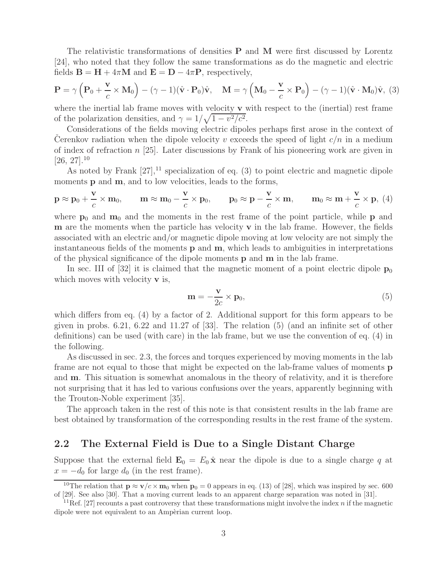The relativistic transformations of densities **P** and **M** were first discussed by Lorentz [24], who noted that they follow the same transformations as do the magnetic and electric fields  $\mathbf{B} = \mathbf{H} + 4\pi\mathbf{M}$  and  $\mathbf{E} = \mathbf{D} - 4\pi\mathbf{P}$ , respectively,

$$
\mathbf{P} = \gamma \left( \mathbf{P}_0 + \frac{\mathbf{v}}{c} \times \mathbf{M}_0 \right) - (\gamma - 1)(\hat{\mathbf{v}} \cdot \mathbf{P}_0)\hat{\mathbf{v}}, \quad \mathbf{M} = \gamma \left( \mathbf{M}_0 - \frac{\mathbf{v}}{c} \times \mathbf{P}_0 \right) - (\gamma - 1)(\hat{\mathbf{v}} \cdot \mathbf{M}_0)\hat{\mathbf{v}},
$$
 (3)

where the inertial lab frame moves with velocity **v** with respect to the (inertial) rest frame of the polarization densities, and  $\gamma = 1/\sqrt{1 - v^2/c^2}$ .

Considerations of the fields moving electric dipoles perhaps first arose in the context of Cerenkov radiation when the dipole velocity v exceeds the speed of light  $c/n$  in a medium of index of refraction  $n \geq 25$ . Later discussions by Frank of his pioneering work are given in  $[26, 27]$ <sup>10</sup>

As noted by Frank  $[27]$ ,<sup>11</sup> specialization of eq. (3) to point electric and magnetic dipole moments **p** and **m**, and to low velocities, leads to the forms,

$$
\mathbf{p} \approx \mathbf{p}_0 + \frac{\mathbf{v}}{c} \times \mathbf{m}_0, \qquad \mathbf{m} \approx \mathbf{m}_0 - \frac{\mathbf{v}}{c} \times \mathbf{p}_0, \qquad \mathbf{p}_0 \approx \mathbf{p} - \frac{\mathbf{v}}{c} \times \mathbf{m}, \qquad \mathbf{m}_0 \approx \mathbf{m} + \frac{\mathbf{v}}{c} \times \mathbf{p}, \ (4)
$$

where  $p_0$  and  $m_0$  and the moments in the rest frame of the point particle, while **p** and **m** are the moments when the particle has velocity **v** in the lab frame. However, the fields associated with an electric and/or magnetic dipole moving at low velocity are not simply the instantaneous fields of the moments **p** and **m**, which leads to ambiguities in interpretations of the physical significance of the dipole moments **p** and **m** in the lab frame.

In sec. III of  $[32]$  it is claimed that the magnetic moment of a point electric dipole  $\mathbf{p}_0$ which moves with velocity **v** is,

$$
\mathbf{m} = -\frac{\mathbf{v}}{2c} \times \mathbf{p}_0,\tag{5}
$$

which differs from eq. (4) by a factor of 2. Additional support for this form appears to be given in probs. 6.21, 6.22 and 11.27 of [33]. The relation (5) (and an infinite set of other definitions) can be used (with care) in the lab frame, but we use the convention of eq. (4) in the following.

As discussed in sec. 2.3, the forces and torques experienced by moving moments in the lab frame are not equal to those that might be expected on the lab-frame values of moments **p** and **m**. This situation is somewhat anomalous in the theory of relativity, and it is therefore not surprising that it has led to various confusions over the years, apparently beginning with the Trouton-Noble experiment [35].

The approach taken in the rest of this note is that consistent results in the lab frame are best obtained by transformation of the corresponding results in the rest frame of the system.

### **2.2 The External Field is Due to a Single Distant Charge**

Suppose that the external field  $\mathbf{E}_0 = E_0 \hat{\mathbf{x}}$  near the dipole is due to a single charge q at  $x = -d_0$  for large  $d_0$  (in the rest frame).

<sup>&</sup>lt;sup>10</sup>The relation that  $\mathbf{p} \approx \mathbf{v}/c \times \mathbf{m}_0$  when  $\mathbf{p}_0 = 0$  appears in eq. (13) of [28], which was inspired by sec. 600 of [29]. See also [30]. That a moving current leads to an apparent charge separation was noted in [31].

<sup>&</sup>lt;sup>11</sup>Ref. [27] recounts a past controversy that these transformations might involve the index n if the magnetic dipole were not equivalent to an Ampèrian current loop.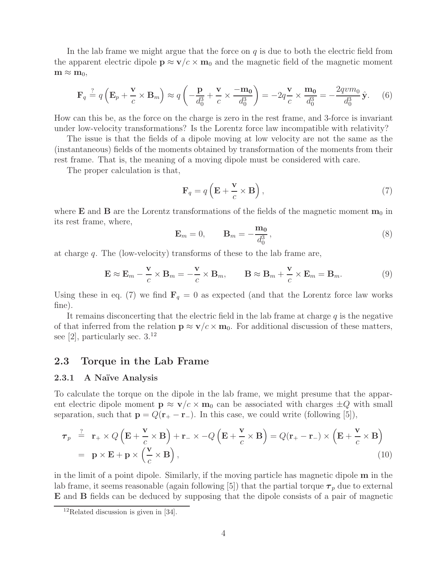In the lab frame we might argue that the force on  $q$  is due to both the electric field from the apparent electric dipole  $p \approx v/c \times m_0$  and the magnetic field of the magnetic moment  $\mathbf{m} \approx \mathbf{m}_0$ 

$$
\mathbf{F}_q \stackrel{?}{=} q\left(\mathbf{E}_p + \frac{\mathbf{v}}{c} \times \mathbf{B}_m\right) \approx q\left(-\frac{\mathbf{p}}{d_0^3} + \frac{\mathbf{v}}{c} \times \frac{-\mathbf{m_0}}{d_0^3}\right) = -2q\frac{\mathbf{v}}{c} \times \frac{\mathbf{m_0}}{d_0^3} = -\frac{2qvm_0}{d_0^3}\hat{\mathbf{y}}.\tag{6}
$$

How can this be, as the force on the charge is zero in the rest frame, and 3-force is invariant under low-velocity transformations? Is the Lorentz force law incompatible with relativity?

The issue is that the fields of a dipole moving at low velocity are not the same as the (instantaneous) fields of the moments obtained by transformation of the moments from their rest frame. That is, the meaning of a moving dipole must be considered with care.

The proper calculation is that,

$$
\mathbf{F}_q = q\left(\mathbf{E} + \frac{\mathbf{v}}{c} \times \mathbf{B}\right),\tag{7}
$$

where **E** and **B** are the Lorentz transformations of the fields of the magnetic moment  $\mathbf{m}_0$  in its rest frame, where,

$$
\mathbf{E}_m = 0, \qquad \mathbf{B}_m = -\frac{\mathbf{m_0}}{d_0^3}, \tag{8}
$$

at charge q. The (low-velocity) transforms of these to the lab frame are,

$$
\mathbf{E} \approx \mathbf{E}_m - \frac{\mathbf{v}}{c} \times \mathbf{B}_m = -\frac{\mathbf{v}}{c} \times \mathbf{B}_m, \qquad \mathbf{B} \approx \mathbf{B}_m + \frac{\mathbf{v}}{c} \times \mathbf{E}_m = \mathbf{B}_m.
$$
 (9)

Using these in eq. (7) we find  $\mathbf{F}_q = 0$  as expected (and that the Lorentz force law works fine).

It remains disconcerting that the electric field in the lab frame at charge  $q$  is the negative of that inferred from the relation  $\mathbf{p} \approx \mathbf{v}/c \times \mathbf{m}_0$ . For additional discussion of these matters, see [2], particularly sec.  $3^{12}$ 

### **2.3 Torque in the Lab Frame**

#### **2.3.1 A Na¨ıve Analysis**

To calculate the torque on the dipole in the lab frame, we might presume that the apparent electric dipole moment  $p \approx v/c \times m_0$  can be associated with charges  $\pm Q$  with small separation, such that  $\mathbf{p} = Q(\mathbf{r}_{+} - \mathbf{r}_{-})$ . In this case, we could write (following [5]),

$$
\begin{aligned}\n\boldsymbol{\tau}_p & \stackrel{?}{=} \mathbf{r}_+ \times Q\left(\mathbf{E} + \frac{\mathbf{v}}{c} \times \mathbf{B}\right) + \mathbf{r}_- \times -Q\left(\mathbf{E} + \frac{\mathbf{v}}{c} \times \mathbf{B}\right) = Q(\mathbf{r}_+ - \mathbf{r}_-) \times \left(\mathbf{E} + \frac{\mathbf{v}}{c} \times \mathbf{B}\right) \\
& = \mathbf{p} \times \mathbf{E} + \mathbf{p} \times \left(\frac{\mathbf{v}}{c} \times \mathbf{B}\right),\n\end{aligned} \tag{10}
$$

in the limit of a point dipole. Similarly, if the moving particle has magnetic dipole **m** in the lab frame, it seems reasonable (again following [5]) that the partial torque  $\tau_p$  due to external **E** and **B** fields can be deduced by supposing that the dipole consists of a pair of magnetic

 $12$ Related discussion is given in [34].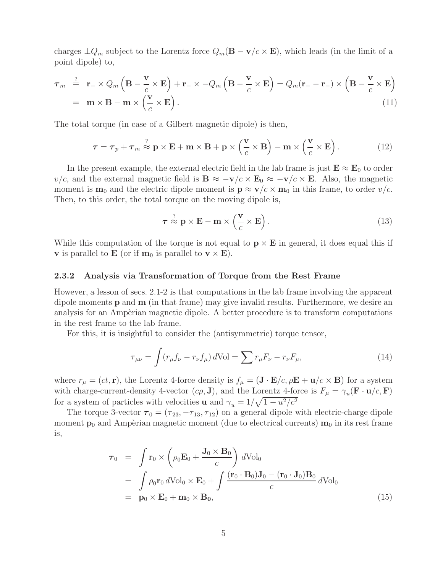charges  $\pm Q_m$  subject to the Lorentz force  $Q_m(\mathbf{B} - \mathbf{v}/c \times \mathbf{E})$ , which leads (in the limit of a point dipole) to,

$$
\boldsymbol{\tau}_m \stackrel{?}{=} \mathbf{r}_+ \times Q_m \left( \mathbf{B} - \frac{\mathbf{v}}{c} \times \mathbf{E} \right) + \mathbf{r}_- \times -Q_m \left( \mathbf{B} - \frac{\mathbf{v}}{c} \times \mathbf{E} \right) = Q_m (\mathbf{r}_+ - \mathbf{r}_-) \times \left( \mathbf{B} - \frac{\mathbf{v}}{c} \times \mathbf{E} \right)
$$
  
=  $\mathbf{m} \times \mathbf{B} - \mathbf{m} \times \left( \frac{\mathbf{v}}{c} \times \mathbf{E} \right).$  (11)

The total torque (in case of a Gilbert magnetic dipole) is then,

$$
\tau = \tau_p + \tau_m \stackrel{?}{\approx} \mathbf{p} \times \mathbf{E} + \mathbf{m} \times \mathbf{B} + \mathbf{p} \times \left(\frac{\mathbf{v}}{c} \times \mathbf{B}\right) - \mathbf{m} \times \left(\frac{\mathbf{v}}{c} \times \mathbf{E}\right).
$$
 (12)

In the present example, the external electric field in the lab frame is just  $\mathbf{E} \approx \mathbf{E}_0$  to order  $v/c$ , and the external magnetic field is  $\mathbf{B} \approx -\mathbf{v}/c \times \mathbf{E}_0 \approx -\mathbf{v}/c \times \mathbf{E}$ . Also, the magnetic moment is  $\mathbf{m}_0$  and the electric dipole moment is  $\mathbf{p} \approx \mathbf{v}/c \times \mathbf{m}_0$  in this frame, to order  $v/c$ . Then, to this order, the total torque on the moving dipole is,

$$
\tau \stackrel{?}{\approx} \mathbf{p} \times \mathbf{E} - \mathbf{m} \times \left(\frac{\mathbf{v}}{c} \times \mathbf{E}\right). \tag{13}
$$

While this computation of the torque is not equal to  $\mathbf{p} \times \mathbf{E}$  in general, it does equal this if **v** is parallel to **E** (or if  $\mathbf{m}_0$  is parallel to  $\mathbf{v} \times \mathbf{E}$ ).

#### **2.3.2 Analysis via Transformation of Torque from the Rest Frame**

However, a lesson of secs. 2.1-2 is that computations in the lab frame involving the apparent dipole moments **p** and **m** (in that frame) may give invalid results. Furthermore, we desire an analysis for an Ampèrian magnetic dipole. A better procedure is to transform computations in the rest frame to the lab frame.

For this, it is insightful to consider the (antisymmetric) torque tensor,

$$
\tau_{\mu\nu} = \int (r_{\mu} f_{\nu} - r_{\nu} f_{\mu}) d\text{Vol} = \sum r_{\mu} F_{\nu} - r_{\nu} F_{\mu}, \tag{14}
$$

where  $r_{\mu} = (ct, \mathbf{r})$ , the Lorentz 4-force density is  $f_{\mu} = (\mathbf{J} \cdot \mathbf{E}/c, \rho \mathbf{E} + \mathbf{u}/c \times \mathbf{B})$  for a system with charge-current-density 4-vector  $(c\rho, \mathbf{J})$ , and the Lorentz 4-force is  $F_{\mu} = \gamma_u(\mathbf{F} \cdot \mathbf{u}/c, \mathbf{F})$ for a system of particles with velocities **u** and  $\gamma_u = 1/\sqrt{1 - u^2/c^2}$ 

The torque 3-vector  $\tau_0 = (\tau_{23}, -\tau_{13}, \tau_{12})$  on a general dipole with electric-charge dipole moment  $\mathbf{p}_0$  and Ampèrian magnetic moment (due to electrical currents)  $\mathbf{m}_0$  in its rest frame is,

$$
\begin{split}\n\boldsymbol{\tau}_{0} &= \int \mathbf{r}_{0} \times \left( \rho_{0} \mathbf{E}_{0} + \frac{\mathbf{J}_{0} \times \mathbf{B}_{0}}{c} \right) d \mathrm{Vol}_{0} \\
&= \int \rho_{0} \mathbf{r}_{0} d \mathrm{Vol}_{0} \times \mathbf{E}_{0} + \int \frac{(\mathbf{r}_{0} \cdot \mathbf{B}_{0}) \mathbf{J}_{0} - (\mathbf{r}_{0} \cdot \mathbf{J}_{0}) \mathbf{B}_{0}}{c} d \mathrm{Vol}_{0} \\
&= \mathbf{p}_{0} \times \mathbf{E}_{0} + \mathbf{m}_{0} \times \mathbf{B}_{0},\n\end{split} \tag{15}
$$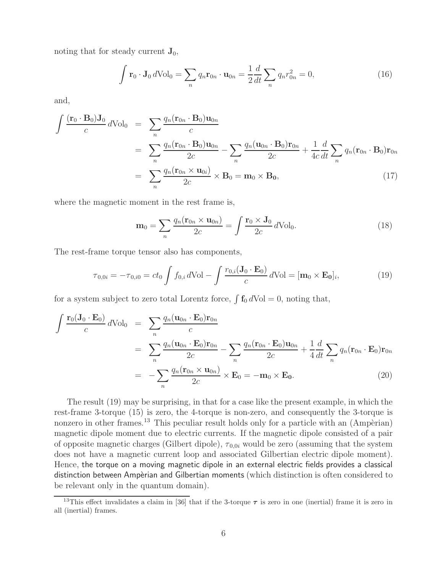noting that for steady current  $\mathbf{J}_0$ ,

$$
\int \mathbf{r}_0 \cdot \mathbf{J}_0 d\mathrm{Vol}_0 = \sum_n q_n \mathbf{r}_{0n} \cdot \mathbf{u}_{0n} = \frac{1}{2} \frac{d}{dt} \sum_n q_n r_{0n}^2 = 0,
$$
\n(16)

and,

$$
\int \frac{(\mathbf{r}_0 \cdot \mathbf{B}_0) \mathbf{J}_0}{c} d\text{Vol}_0 = \sum_n \frac{q_n(\mathbf{r}_{0n} \cdot \mathbf{B}_0) \mathbf{u}_{0n}}{c}
$$
\n
$$
= \sum_n \frac{q_n(\mathbf{r}_{0n} \cdot \mathbf{B}_0) \mathbf{u}_{0n}}{2c} - \sum_n \frac{q_n(\mathbf{u}_{0n} \cdot \mathbf{B}_0) \mathbf{r}_{0n}}{2c} + \frac{1}{4c} \frac{d}{dt} \sum_n q_n(\mathbf{r}_{0n} \cdot \mathbf{B}_0) \mathbf{r}_{0n}
$$
\n
$$
= \sum_n \frac{q_n(\mathbf{r}_{0n} \times \mathbf{u}_{0i})}{2c} \times \mathbf{B}_0 = \mathbf{m}_0 \times \mathbf{B}_0,
$$
\n(17)

where the magnetic moment in the rest frame is,

$$
\mathbf{m}_0 = \sum_n \frac{q_n(\mathbf{r}_{0n} \times \mathbf{u}_{0n})}{2c} = \int \frac{\mathbf{r}_0 \times \mathbf{J}_0}{2c} d\text{Vol}_0.
$$
 (18)

The rest-frame torque tensor also has components,

$$
\tau_{0,0i} = -\tau_{0,i0} = ct_0 \int f_{0,i} d\text{Vol} - \int \frac{r_{0,i}(\mathbf{J}_0 \cdot \mathbf{E}_0)}{c} d\text{Vol} = [\mathbf{m}_0 \times \mathbf{E}_0]_i,
$$
(19)

for a system subject to zero total Lorentz force,  $\int f_0 dVol = 0$ , noting that,

$$
\int \frac{\mathbf{r}_0(\mathbf{J}_0 \cdot \mathbf{E}_0)}{c} d\text{Vol}_0 = \sum_n \frac{q_n(\mathbf{u}_{0n} \cdot \mathbf{E}_0) \mathbf{r}_{0n}}{c}
$$
\n
$$
= \sum_n \frac{q_n(\mathbf{u}_{0n} \cdot \mathbf{E}_0) \mathbf{r}_{0n}}{2c} - \sum_n \frac{q_n(\mathbf{r}_{0n} \cdot \mathbf{E}_0) \mathbf{u}_{0n}}{2c} + \frac{1}{4} \frac{d}{dt} \sum_n q_n(\mathbf{r}_{0n} \cdot \mathbf{E}_0) \mathbf{r}_{0n}
$$
\n
$$
= - \sum_n \frac{q_n(\mathbf{r}_{0n} \times \mathbf{u}_{0n})}{2c} \times \mathbf{E}_0 = -\mathbf{m}_0 \times \mathbf{E}_0. \tag{20}
$$

The result (19) may be surprising, in that for a case like the present example, in which the rest-frame 3-torque (15) is zero, the 4-torque is non-zero, and consequently the 3-torque is nonzero in other frames.<sup>13</sup> This peculiar result holds only for a particle with an  $(Amp\hat{e}rian)$ magnetic dipole moment due to electric currents. If the magnetic dipole consisted of a pair of opposite magnetic charges (Gilbert dipole),  $\tau_{0.0i}$  would be zero (assuming that the system does not have a magnetic current loop and associated Gilbertian electric dipole moment). Hence, the torque on a moving magnetic dipole in an external electric fields provides a classical distinction between Ampèrian and Gilbertian moments (which distinction is often considered to be relevant only in the quantum domain).

<sup>&</sup>lt;sup>13</sup>This effect invalidates a claim in [36] that if the 3-torque  $\tau$  is zero in one (inertial) frame it is zero in all (inertial) frames.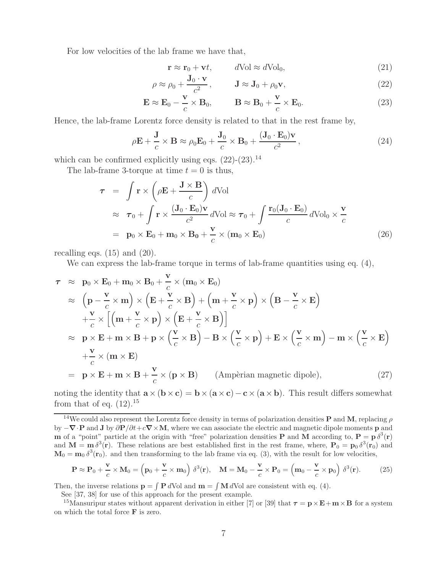For low velocities of the lab frame we have that,

$$
\mathbf{r} \approx \mathbf{r}_0 + \mathbf{v}t, \qquad d\text{Vol} \approx d\text{Vol}_0,\tag{21}
$$

$$
\rho \approx \rho_0 + \frac{\mathbf{J}_0 \cdot \mathbf{v}}{c^2}, \qquad \mathbf{J} \approx \mathbf{J}_0 + \rho_0 \mathbf{v}, \tag{22}
$$

$$
\mathbf{E} \approx \mathbf{E}_0 - \frac{\mathbf{v}}{c} \times \mathbf{B}_0, \qquad \mathbf{B} \approx \mathbf{B}_0 + \frac{\mathbf{v}}{c} \times \mathbf{E}_0.
$$
 (23)

Hence, the lab-frame Lorentz force density is related to that in the rest frame by,

$$
\rho \mathbf{E} + \frac{\mathbf{J}}{c} \times \mathbf{B} \approx \rho_0 \mathbf{E}_0 + \frac{\mathbf{J}_0}{c} \times \mathbf{B}_0 + \frac{(\mathbf{J}_0 \cdot \mathbf{E}_0) \mathbf{v}}{c^2},
$$
\n(24)

which can be confirmed explicitly using eqs.  $(22)-(23)$ .<sup>14</sup>

The lab-frame 3-torque at time  $t = 0$  is thus,

$$
\tau = \int \mathbf{r} \times \left(\rho \mathbf{E} + \frac{\mathbf{J} \times \mathbf{B}}{c}\right) d\text{Vol}
$$
  
\n
$$
\approx \tau_0 + \int \mathbf{r} \times \frac{(\mathbf{J}_0 \cdot \mathbf{E}_0) \mathbf{v}}{c^2} d\text{Vol} \approx \tau_0 + \int \frac{\mathbf{r}_0(\mathbf{J}_0 \cdot \mathbf{E}_0)}{c} d\text{Vol}_0 \times \frac{\mathbf{v}}{c}
$$
  
\n
$$
= \mathbf{p}_0 \times \mathbf{E}_0 + \mathbf{m}_0 \times \mathbf{B}_0 + \frac{\mathbf{v}}{c} \times (\mathbf{m}_0 \times \mathbf{E}_0)
$$
\n(26)

recalling eqs.  $(15)$  and  $(20)$ .

We can express the lab-frame torque in terms of lab-frame quantities using eq.  $(4)$ ,

$$
\tau \approx \mathbf{p}_0 \times \mathbf{E}_0 + \mathbf{m}_0 \times \mathbf{B}_0 + \frac{\mathbf{v}}{c} \times (\mathbf{m}_0 \times \mathbf{E}_0)
$$
  
\n
$$
\approx (\mathbf{p} - \frac{\mathbf{v}}{c} \times \mathbf{m}) \times (\mathbf{E} + \frac{\mathbf{v}}{c} \times \mathbf{B}) + (\mathbf{m} + \frac{\mathbf{v}}{c} \times \mathbf{p}) \times (\mathbf{B} - \frac{\mathbf{v}}{c} \times \mathbf{E})
$$
  
\n
$$
+ \frac{\mathbf{v}}{c} \times [(\mathbf{m} + \frac{\mathbf{v}}{c} \times \mathbf{p}) \times (\mathbf{E} + \frac{\mathbf{v}}{c} \times \mathbf{B})]
$$
  
\n
$$
\approx \mathbf{p} \times \mathbf{E} + \mathbf{m} \times \mathbf{B} + \mathbf{p} \times (\frac{\mathbf{v}}{c} \times \mathbf{B}) - \mathbf{B} \times (\frac{\mathbf{v}}{c} \times \mathbf{p}) + \mathbf{E} \times (\frac{\mathbf{v}}{c} \times \mathbf{m}) - \mathbf{m} \times (\frac{\mathbf{v}}{c} \times \mathbf{E})
$$
  
\n
$$
+ \frac{\mathbf{v}}{c} \times (\mathbf{m} \times \mathbf{E})
$$
  
\n
$$
= \mathbf{p} \times \mathbf{E} + \mathbf{m} \times \mathbf{B} + \frac{\mathbf{v}}{c} \times (\mathbf{p} \times \mathbf{B}) \qquad \text{(Ampèrian magnetic dipole)}, \qquad (27)
$$

noting the identity that  $\mathbf{a} \times (\mathbf{b} \times \mathbf{c}) = \mathbf{b} \times (\mathbf{a} \times \mathbf{c}) - \mathbf{c} \times (\mathbf{a} \times \mathbf{b})$ . This result differs somewhat from that of eq.  $(12).^{15}$ 

$$
\mathbf{P} \approx \mathbf{P}_0 + \frac{\mathbf{v}}{c} \times \mathbf{M}_0 = \left(\mathbf{p}_0 + \frac{\mathbf{v}}{c} \times \mathbf{m}_0\right) \delta^3(\mathbf{r}), \quad \mathbf{M} = \mathbf{M}_0 - \frac{\mathbf{v}}{c} \times \mathbf{P}_0 = \left(\mathbf{m}_0 - \frac{\mathbf{v}}{c} \times \mathbf{p}_0\right) \delta^3(\mathbf{r}). \tag{25}
$$

Then, the inverse relations  $\mathbf{p} = \int \mathbf{P} d\text{Vol}$  and  $\mathbf{m} = \int \mathbf{M} d\text{Vol}$  are consistent with eq. (4).

See [37, 38] for use of this approach for the present example.

<sup>15</sup>Mansuripur states without apparent derivation in either [7] or [39] that  $\tau = \mathbf{p} \times \mathbf{E} + \mathbf{m} \times \mathbf{B}$  for a system on which the total force **F** is zero.

<sup>&</sup>lt;sup>14</sup>We could also represent the Lorentz force density in terms of polarization densities **P** and **M**, replacing  $\rho$ by <sup>−</sup>*∇*·**<sup>P</sup>** and **<sup>J</sup>** by <sup>∂</sup>**P**/∂t+c*∇*×**M**, where we can associate the electric and magnetic dipole moments **<sup>p</sup>** and **m** of a "point" particle at the origin with "free" polarization densities **P** and **M** according to,  $P = p \delta^3(r)$ and  $\mathbf{M} = \mathbf{m} \delta^3(\mathbf{r})$ . These relations are best established first in the rest frame, where,  $\mathbf{P}_0 = \mathbf{p}_0 \delta^3(\mathbf{r}_0)$  and  $\mathbf{M}_0 = \mathbf{m}_0 \delta^3(\mathbf{r}_0)$  and then transforming to the lab frame via eq. (3), with the result for low velocities,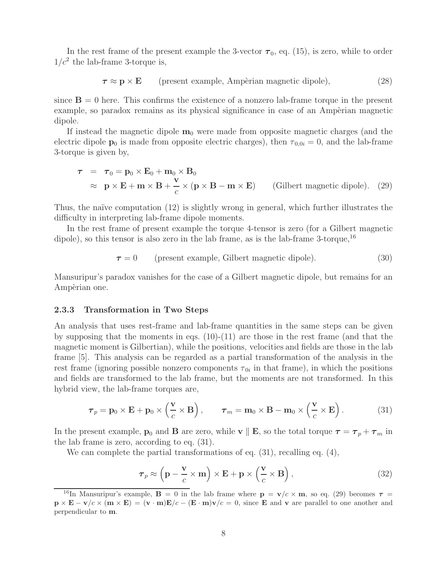In the rest frame of the present example the 3-vector  $\tau_0$ , eq. (15), is zero, while to order  $1/c^2$  the lab-frame 3-torque is,

$$
\boldsymbol{\tau} \approx \mathbf{p} \times \mathbf{E}
$$
 (present example, Ampèrian magnetic dipole), (28)

since  $\mathbf{B} = 0$  here. This confirms the existence of a nonzero lab-frame torque in the present example, so paradox remains as its physical significance in case of an Ampèrian magnetic dipole.

If instead the magnetic dipole  $\mathbf{m}_0$  were made from opposite magnetic charges (and the electric dipole **p**<sub>0</sub> is made from opposite electric charges), then  $\tau_{0,0i} = 0$ , and the lab-frame 3-torque is given by,

$$
\tau = \tau_0 = \mathbf{p}_0 \times \mathbf{E}_0 + \mathbf{m}_0 \times \mathbf{B}_0
$$
  
\n
$$
\approx \mathbf{p} \times \mathbf{E} + \mathbf{m} \times \mathbf{B} + \frac{\mathbf{v}}{c} \times (\mathbf{p} \times \mathbf{B} - \mathbf{m} \times \mathbf{E})
$$
 (Gilbert magnetic dipole). (29)

Thus, the naïve computation (12) is slightly wrong in general, which further illustrates the difficulty in interpreting lab-frame dipole moments.

In the rest frame of present example the torque 4-tensor is zero (for a Gilbert magnetic dipole), so this tensor is also zero in the lab frame, as is the lab-frame  $3$ -torque,  $16$ 

 $\tau = 0$  (present example, Gilbert magnetic dipole). (30)

Mansuripur's paradox vanishes for the case of a Gilbert magnetic dipole, but remains for an Ampèrian one.

#### **2.3.3 Transformation in Two Steps**

An analysis that uses rest-frame and lab-frame quantities in the same steps can be given by supposing that the moments in eqs.  $(10)-(11)$  are those in the rest frame (and that the magnetic moment is Gilbertian), while the positions, velocities and fields are those in the lab frame [5]. This analysis can be regarded as a partial transformation of the analysis in the rest frame (ignoring possible nonzero components  $\tau_{0i}$  in that frame), in which the positions and fields are transformed to the lab frame, but the moments are not transformed. In this hybrid view, the lab-frame torques are,

$$
\boldsymbol{\tau}_p = \mathbf{p}_0 \times \mathbf{E} + \mathbf{p}_0 \times \left(\frac{\mathbf{v}}{c} \times \mathbf{B}\right), \qquad \boldsymbol{\tau}_m = \mathbf{m}_0 \times \mathbf{B} - \mathbf{m}_0 \times \left(\frac{\mathbf{v}}{c} \times \mathbf{E}\right).
$$
 (31)

In the present example, **p**<sub>0</sub> and **B** are zero, while **v**  $\parallel$  **E**, so the total torque  $\tau = \tau_p + \tau_m$  in the lab frame is zero, according to eq. (31).

We can complete the partial transformations of eq.  $(31)$ , recalling eq.  $(4)$ ,

$$
\boldsymbol{\tau}_p \approx \left(\mathbf{p} - \frac{\mathbf{v}}{c} \times \mathbf{m}\right) \times \mathbf{E} + \mathbf{p} \times \left(\frac{\mathbf{v}}{c} \times \mathbf{B}\right),\tag{32}
$$

<sup>&</sup>lt;sup>16</sup>In Mansuripur's example, **B** = 0 in the lab frame where  $\mathbf{p} = \mathbf{v}/c \times \mathbf{m}$ , so eq. (29) becomes  $\tau =$  $\mathbf{p} \times \mathbf{E} - \mathbf{v}/c \times (\mathbf{m} \times \mathbf{E}) = (\mathbf{v} \cdot \mathbf{m})\mathbf{E}/c - (\mathbf{E} \cdot \mathbf{m})\mathbf{v}/c = 0$ , since **E** and **v** are parallel to one another and perpendicular to **m**.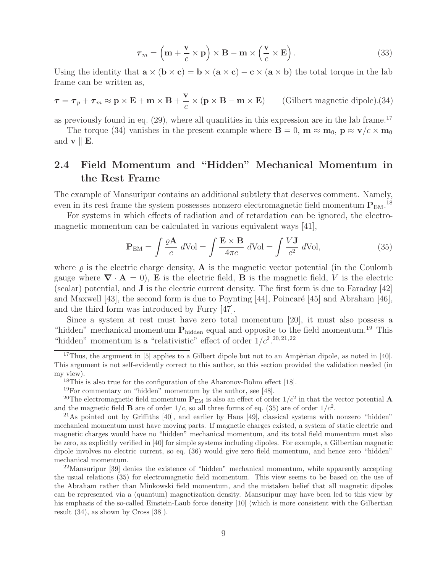$$
\boldsymbol{\tau}_m = \left(\mathbf{m} + \frac{\mathbf{v}}{c} \times \mathbf{p}\right) \times \mathbf{B} - \mathbf{m} \times \left(\frac{\mathbf{v}}{c} \times \mathbf{E}\right). \tag{33}
$$

Using the identity that  $\mathbf{a} \times (\mathbf{b} \times \mathbf{c}) = \mathbf{b} \times (\mathbf{a} \times \mathbf{c}) - \mathbf{c} \times (\mathbf{a} \times \mathbf{b})$  the total torque in the lab frame can be written as,

$$
\tau = \tau_p + \tau_m \approx \mathbf{p} \times \mathbf{E} + \mathbf{m} \times \mathbf{B} + \frac{\mathbf{v}}{c} \times (\mathbf{p} \times \mathbf{B} - \mathbf{m} \times \mathbf{E})
$$
 (Gilbert magnetic dipole). (34)

as previously found in eq.  $(29)$ , where all quantities in this expression are in the lab frame.<sup>17</sup>

The torque (34) vanishes in the present example where  $\mathbf{B} = 0$ ,  $\mathbf{m} \approx \mathbf{m}_0$ ,  $\mathbf{p} \approx \mathbf{v}/c \times \mathbf{m}_0$ and  $\mathbf{v} \parallel \mathbf{E}$ .

## **2.4 Field Momentum and "Hidden" Mechanical Momentum in the Rest Frame**

The example of Mansuripur contains an additional subtlety that deserves comment. Namely, even in its rest frame the system possesses nonzero electromagnetic field momentum  $P_{EM}$ .<sup>18</sup>

For systems in which effects of radiation and of retardation can be ignored, the electromagnetic momentum can be calculated in various equivalent ways [41],

$$
\mathbf{P}_{\text{EM}} = \int \frac{\varrho \mathbf{A}}{c} \, d\text{Vol} = \int \frac{\mathbf{E} \times \mathbf{B}}{4\pi c} \, d\text{Vol} = \int \frac{V \mathbf{J}}{c^2} \, d\text{Vol},\tag{35}
$$

where  $\rho$  is the electric charge density, **A** is the magnetic vector potential (in the Coulomb gauge where  $\nabla \cdot \mathbf{A} = 0$ , **E** is the electric field, **B** is the magnetic field, *V* is the electric (scalar) potential, and **J** is the electric current density. The first form is due to Faraday [42] and Maxwell [43], the second form is due to Poynting [44], Poincaré [45] and Abraham [46], and the third form was introduced by Furry [47].

Since a system at rest must have zero total momentum [20], it must also possess a "hidden" mechanical momentum  $P_{hidden}$  equal and opposite to the field momentum.<sup>19</sup> This "hidden" momentum is a "relativistic" effect of order  $1/c^2$ .<sup>20,21,22</sup>

<sup>&</sup>lt;sup>17</sup>Thus, the argument in [5] applies to a Gilbert dipole but not to an Ampèrian dipole, as noted in [40]. This argument is not self-evidently correct to this author, so this section provided the validation needed (in my view).

<sup>&</sup>lt;sup>18</sup>This is also true for the configuration of the Aharonov-Bohm effect [18].

<sup>19</sup>For commentary on "hidden" momentum by the author, see [48].

<sup>&</sup>lt;sup>20</sup>The electromagnetic field momentum  $P_{\text{EM}}$  is also an effect of order  $1/c^2$  in that the vector potential **A** and the magnetic field **B** are of order  $1/c$ , so all three forms of eq. (35) are of order  $1/c<sup>2</sup>$ .

 $^{21}$ As pointed out by Griffiths [40], and earlier by Haus [49], classical systems with nonzero "hidden" mechanical momentum must have moving parts. If magnetic charges existed, a system of static electric and magnetic charges would have no "hidden" mechanical momentum, and its total field momentum must also be zero, as explicitly verified in [40] for simple systems including dipoles. For example, a Gilbertian magnetic dipole involves no electric current, so eq. (36) would give zero field momentum, and hence zero "hidden" mechanical momentum.

 $22$ Mansuripur [39] denies the existence of "hidden" mechanical momentum, while apparently accepting the usual relations (35) for electromagnetic field momentum. This view seems to be based on the use of the Abraham rather than Minkowski field momentum, and the mistaken belief that all magnetic dipoles can be represented via a (quantum) magnetization density. Mansuripur may have been led to this view by his emphasis of the so-called Einstein-Laub force density [10] (which is more consistent with the Gilbertian result (34), as shown by Cross [38]).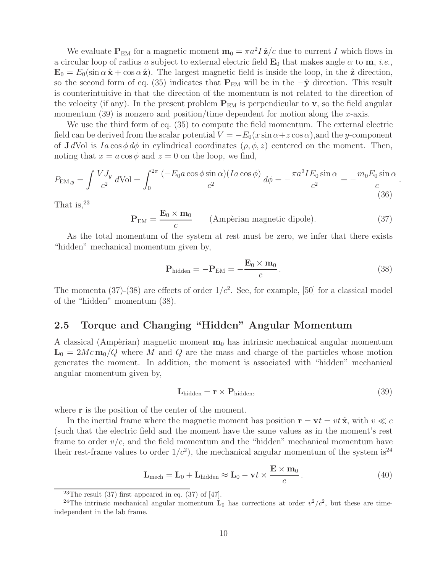We evaluate  $P_{EM}$  for a magnetic moment  $m_0 = \pi a^2 I \hat{z}/c$  due to current I which flows in a circular loop of radius a subject to external electric field  $\mathbf{E}_0$  that makes angle  $\alpha$  to  $\mathbf{m}$ , *i.e.*,  $\mathbf{E}_0 = E_0(\sin \alpha \hat{\mathbf{x}} + \cos \alpha \hat{\mathbf{z}})$ . The largest magnetic field is inside the loop, in the  $\hat{\mathbf{z}}$  direction, so the second form of eq. (35) indicates that  $P_{EM}$  will be in the  $-\hat{y}$  direction. This result is counterintuitive in that the direction of the momentum is not related to the direction of the velocity (if any). In the present problem  $P_{EM}$  is perpendicular to **v**, so the field angular momentum  $(39)$  is nonzero and position/time dependent for motion along the x-axis.

We use the third form of eq. (35) to compute the field momentum. The external electric field can be derived from the scalar potential  $V = -E_0(x \sin \alpha + z \cos \alpha)$ , and the y-component of **J** dVol is  $Ia \cos \phi d\phi$  in cylindrical coordinates  $(\rho, \phi, z)$  centered on the moment. Then, noting that  $x = a \cos \phi$  and  $z = 0$  on the loop, we find,

$$
P_{\text{EM},y} = \int \frac{V J_y}{c^2} d\text{Vol} = \int_0^{2\pi} \frac{(-E_0 a \cos \phi \sin \alpha)(I a \cos \phi)}{c^2} d\phi = -\frac{\pi a^2 I E_0 \sin \alpha}{c^2} = -\frac{m_0 E_0 \sin \alpha}{c}.
$$
\n(36)

That is, $^{23}$ 

$$
\mathbf{P}_{\text{EM}} = \frac{\mathbf{E}_0 \times \mathbf{m}_0}{c} \qquad \text{(Ampèrian magnetic dipole)}.
$$
 (37)

As the total momentum of the system at rest must be zero, we infer that there exists "hidden" mechanical momentum given by,

$$
\mathbf{P}_{\text{hidden}} = -\mathbf{P}_{\text{EM}} = -\frac{\mathbf{E}_0 \times \mathbf{m}_0}{c} \,. \tag{38}
$$

The momenta (37)-(38) are effects of order  $1/c^2$ . See, for example, [50] for a classical model of the "hidden" momentum (38).

## **2.5 Torque and Changing "Hidden" Angular Momentum**

A classical (Ampèrian) magnetic moment  $m_0$  has intrinsic mechanical angular momentum  $\mathbf{L}_0 = 2Mc \mathbf{m}_0/Q$  where M and Q are the mass and charge of the particles whose motion generates the moment. In addition, the moment is associated with "hidden" mechanical angular momentum given by,

$$
\mathbf{L}_{\text{hidden}} = \mathbf{r} \times \mathbf{P}_{\text{hidden}},\tag{39}
$$

where **r** is the position of the center of the moment.

In the inertial frame where the magnetic moment has position  $\mathbf{r} = \mathbf{v}t = vt \hat{\mathbf{x}}$ , with  $v \ll c$ (such that the electric field and the moment have the same values as in the moment's rest frame to order  $v/c$ , and the field momentum and the "hidden" mechanical momentum have their rest-frame values to order  $1/c^2$ , the mechanical angular momentum of the system is<sup>24</sup>

$$
\mathbf{L}_{\text{mech}} = \mathbf{L}_0 + \mathbf{L}_{\text{hidden}} \approx \mathbf{L}_0 - \mathbf{v}t \times \frac{\mathbf{E} \times \mathbf{m}_0}{c}.
$$
 (40)

<sup>&</sup>lt;sup>23</sup>The result  $(37)$  first appeared in eq.  $(37)$  of  $[47]$ .

<sup>&</sup>lt;sup>24</sup>The intrinsic mechanical angular momentum  $\mathbf{L}_0$  has corrections at order  $v^2/c^2$ , but these are timeindependent in the lab frame.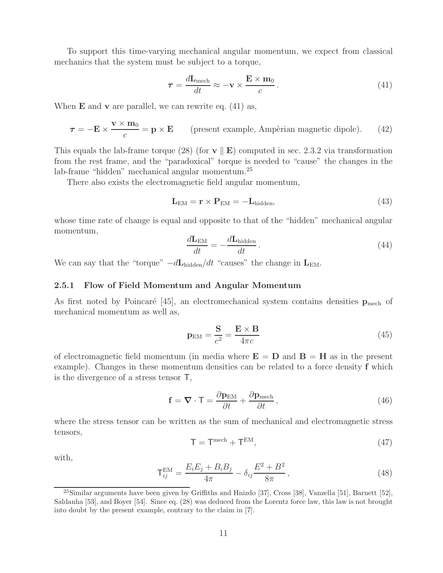To support this time-varying mechanical angular momentum, we expect from classical mechanics that the system must be subject to a torque,

$$
\tau = \frac{d\mathbf{L}_{\text{mech}}}{dt} \approx -\mathbf{v} \times \frac{\mathbf{E} \times \mathbf{m}_0}{c} \,. \tag{41}
$$

When **E** and **v** are parallel, we can rewrite eq. (41) as,

$$
\tau = -\mathbf{E} \times \frac{\mathbf{v} \times \mathbf{m}_0}{c} = \mathbf{p} \times \mathbf{E}
$$
 (present example, Ampèrian magnetic dipole). (42)

This equals the lab-frame torque (28) (for  $\bf{v} \parallel \bf{E}$ ) computed in sec. 2.3.2 via transformation from the rest frame, and the "paradoxical" torque is needed to "cause" the changes in the lab-frame "hidden" mechanical angular momentum.<sup>25</sup>

There also exists the electromagnetic field angular momentum,

$$
\mathbf{L}_{\text{EM}} = \mathbf{r} \times \mathbf{P}_{\text{EM}} = -\mathbf{L}_{\text{hidden}},\tag{43}
$$

whose time rate of change is equal and opposite to that of the "hidden" mechanical angular momentum,

$$
\frac{d\mathbf{L}_{\text{EM}}}{dt} = -\frac{d\mathbf{L}_{\text{hidden}}}{dt} \,. \tag{44}
$$

We can say that the "torque"  $-d\mathbf{L}_{hidden}/dt$  "causes" the change in  $\mathbf{L}_{EM}$ .

#### **2.5.1 Flow of Field Momentum and Angular Momentum**

As first noted by Poincaré [45], an electromechanical system contains densities  $\mathbf{p}_{\text{mech}}$  of mechanical momentum as well as,

$$
\mathbf{p}_{\rm EM} = \frac{\mathbf{S}}{c^2} = \frac{\mathbf{E} \times \mathbf{B}}{4\pi c} \tag{45}
$$

of electromagnetic field momentum (in media where  $\mathbf{E} = \mathbf{D}$  and  $\mathbf{B} = \mathbf{H}$  as in the present example). Changes in these momentum densities can be related to a force density **f** which is the divergence of a stress tensor T,

$$
\mathbf{f} = \mathbf{\nabla} \cdot \mathbf{T} = \frac{\partial \mathbf{p}_{\text{EM}}}{\partial t} + \frac{\partial \mathbf{p}_{\text{mech}}}{\partial t},
$$
\n(46)

where the stress tensor can be written as the sum of mechanical and electromagnetic stress tensors,

$$
\mathsf{T} = \mathsf{T}^{\text{mech}} + \mathsf{T}^{\text{EM}},\tag{47}
$$

with,

$$
\mathsf{T}_{ij}^{\text{EM}} = \frac{E_i E_j + B_i B_j}{4\pi} - \delta_{ij} \frac{E^2 + B^2}{8\pi},\tag{48}
$$

<sup>25</sup>Similar arguments have been given by Griffiths and Hnizdo [37], Cross [38], Vanzella [51], Barnett [52], Saldanha [53], and Boyer [54]. Since eq. (28) was deduced from the Lorentz force law, this law is not brought into doubt by the present example, contrary to the claim in [7].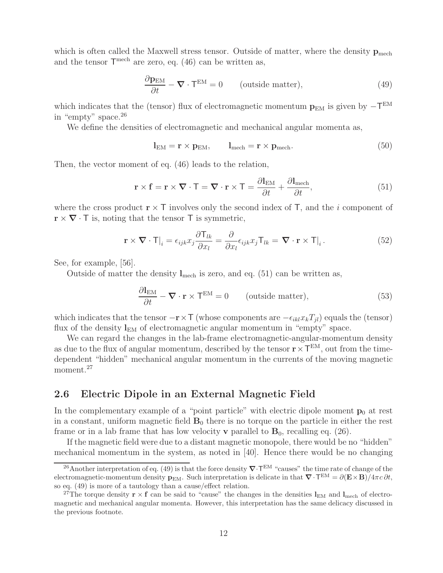which is often called the Maxwell stress tensor. Outside of matter, where the density  $\mathbf{p}_{\text{mech}}$ and the tensor  $\mathsf{T}^{\text{mech}}$  are zero, eq. (46) can be written as,

$$
\frac{\partial \mathbf{p}_{EM}}{\partial t} - \mathbf{\nabla} \cdot \mathbf{T}^{EM} = 0 \qquad \text{(outside matter)}, \tag{49}
$$

which indicates that the (tensor) flux of electromagnetic momentum  $p_{EM}$  is given by  $-\mathsf{T}^{EM}$ in "empty" space.<sup>26</sup>

We define the densities of electromagnetic and mechanical angular momenta as,

$$
l_{EM} = \mathbf{r} \times \mathbf{p}_{EM}, \qquad l_{mech} = \mathbf{r} \times \mathbf{p}_{mech}.
$$
 (50)

Then, the vector moment of eq. (46) leads to the relation,

$$
\mathbf{r} \times \mathbf{f} = \mathbf{r} \times \nabla \cdot \mathbf{T} = \nabla \cdot \mathbf{r} \times \mathbf{T} = \frac{\partial \mathbf{l}_{\text{EM}}}{\partial t} + \frac{\partial \mathbf{l}_{\text{mech}}}{\partial t},
$$
(51)

where the cross product  $\mathbf{r} \times \mathbf{T}$  involves only the second index of  $\mathbf{T}$ , and the *i* component of  $\mathbf{r} \times \nabla \cdot \mathbf{T}$  is, noting that the tensor  $\mathbf{T}$  is symmetric,

$$
\mathbf{r} \times \nabla \cdot \mathbf{T}|_{i} = \epsilon_{ijk} x_{j} \frac{\partial \mathbf{T}_{lk}}{\partial x_{l}} = \frac{\partial}{\partial x_{l}} \epsilon_{ijk} x_{j} \mathbf{T}_{lk} = \nabla \cdot \mathbf{r} \times \mathbf{T}|_{i}.
$$
 (52)

See, for example, [56].

Outside of matter the density  $l_{\text{mech}}$  is zero, and eq. (51) can be written as,

$$
\frac{\partial I_{EM}}{\partial t} - \mathbf{\nabla} \cdot \mathbf{r} \times \mathbf{T}^{EM} = 0 \qquad \text{(outside matter)}, \tag{53}
$$

which indicates that the tensor  $-\mathbf{r} \times \mathbf{T}$  (whose components are  $-\epsilon_{ikl}x_kT_{il}$ ) equals the (tensor) flux of the density  $\mathbf{l}_{EM}$  of electromagnetic angular momentum in "empty" space.

We can regard the changes in the lab-frame electromagnetic-angular-momentum density as due to the flux of angular momentum, described by the tensor  $\mathbf{r} \times \mathbf{T}^{EM}$ , out from the timedependent "hidden" mechanical angular momentum in the currents of the moving magnetic moment.<sup>27</sup>

#### **2.6 Electric Dipole in an External Magnetic Field**

In the complementary example of a "point particle" with electric dipole moment  $\mathbf{p}_0$  at rest in a constant, uniform magnetic field  $\mathbf{B}_0$  there is no torque on the particle in either the rest frame or in a lab frame that has low velocity **v** parallel to  $\mathbf{B}_0$ , recalling eq. (26).

If the magnetic field were due to a distant magnetic monopole, there would be no "hidden" mechanical momentum in the system, as noted in [40]. Hence there would be no changing

<sup>&</sup>lt;sup>26</sup>Another interpretation of eq. (49) is that the force density  $\nabla \cdot$ T<sup>EM</sup> "causes" the time rate of change of the electromagnetic-momentum density  $\mathbf{p}_{EM}$ . Such interpretation is delicate in that  $\nabla \cdot \mathbf{T}^{EM} = \partial (\mathbf{E} \times \mathbf{B})/4\pi c \partial t$ , so eq. (49) is more of a tautology than a cause/effect relation.

<sup>&</sup>lt;sup>27</sup>The torque density  $\mathbf{r} \times \mathbf{f}$  can be said to "cause" the changes in the densities  $\mathbf{l}_{EM}$  and  $\mathbf{l}_{mech}$  of electromagnetic and mechanical angular momenta. However, this interpretation has the same delicacy discussed in the previous footnote.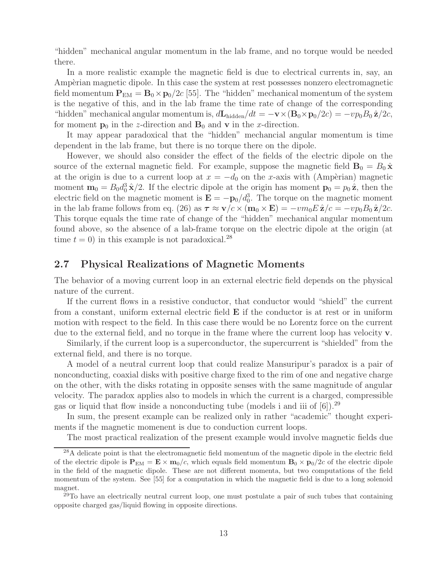"hidden" mechanical angular momentum in the lab frame, and no torque would be needed there.

In a more realistic example the magnetic field is due to electrical currents in, say, an Ampèrian magnetic dipole. In this case the system at rest possesses nonzero electromagnetic field momentum  $P_{EM} = B_0 \times p_0/2c$  [55]. The "hidden" mechanical momentum of the system is the negative of this, and in the lab frame the time rate of change of the corresponding "hidden" mechanical angular momentum is,  $d\mathbf{L}_{hidden}/dt = -\mathbf{v} \times (\mathbf{B}_0 \times \mathbf{p}_0/2c) = -vp_0B_0\hat{\mathbf{z}}/2c$ , for moment  $\mathbf{p}_0$  in the z-direction and  $\mathbf{B}_0$  and **v** in the x-direction.

It may appear paradoxical that the "hidden" mechancial angular momentum is time dependent in the lab frame, but there is no torque there on the dipole.

However, we should also consider the effect of the fields of the electric dipole on the source of the external magnetic field. For example, suppose the magnetic field  $\mathbf{B}_0 = B_0 \hat{\mathbf{x}}$ at the origin is due to a current loop at  $x = -d_0$  on the x-axis with (Ampèrian) magnetic moment  $\mathbf{m}_0 = B_0 d_0^3 \hat{\mathbf{x}}/2$ . If the electric dipole at the origin has moment  $\mathbf{p}_0 = p_0 \hat{\mathbf{z}}$ , then the electric field on the magnetic moment is  $\mathbf{E} = -\mathbf{p}_0/d_0^3$ . The torque on the magnetic moment in the lab frame follows from eq. (26) as  $\tau \approx \mathbf{v}/c \times (\mathbf{m}_0 \times \mathbf{E}) = -v m_0 E \hat{\mathbf{z}}/c = -v p_0 B_0 \hat{\mathbf{z}}/2c$ . This torque equals the time rate of change of the "hidden" mechanical angular momentum found above, so the absence of a lab-frame torque on the electric dipole at the origin (at time  $t = 0$ ) in this example is not paradoxical.<sup>28</sup>

### **2.7 Physical Realizations of Magnetic Moments**

The behavior of a moving current loop in an external electric field depends on the physical nature of the current.

If the current flows in a resistive conductor, that conductor would "shield" the current from a constant, uniform external electric field **E** if the conductor is at rest or in uniform motion with respect to the field. In this case there would be no Lorentz force on the current due to the external field, and no torque in the frame where the current loop has velocity **v**.

Similarly, if the current loop is a superconductor, the supercurrent is "shielded" from the external field, and there is no torque.

A model of a neutral current loop that could realize Mansuripur's paradox is a pair of nonconducting, coaxial disks with positive charge fixed to the rim of one and negative charge on the other, with the disks rotating in opposite senses with the same magnitude of angular velocity. The paradox applies also to models in which the current is a charged, compressible gas or liquid that flow inside a nonconducting tube (models i and iii of  $[6]$ ).<sup>29</sup>

In sum, the present example can be realized only in rather "academic" thought experiments if the magnetic momenent is due to conduction current loops.

The most practical realization of the present example would involve magnetic fields due

<sup>28</sup>A delicate point is that the electromagnetic field momentum of the magnetic dipole in the electric field of the electric dipole is  $\mathbf{P}_{EM} = \mathbf{E} \times \mathbf{m}_0/c$ , which equals field momentum  $\mathbf{B}_0 \times \mathbf{p}_0/2c$  of the electric dipole in the field of the magnetic dipole. These are not different momenta, but two computations of the field momentum of the system. See [55] for a computation in which the magnetic field is due to a long solenoid magnet.

 $^{29}$ To have an electrically neutral current loop, one must postulate a pair of such tubes that containing opposite charged gas/liquid flowing in opposite directions.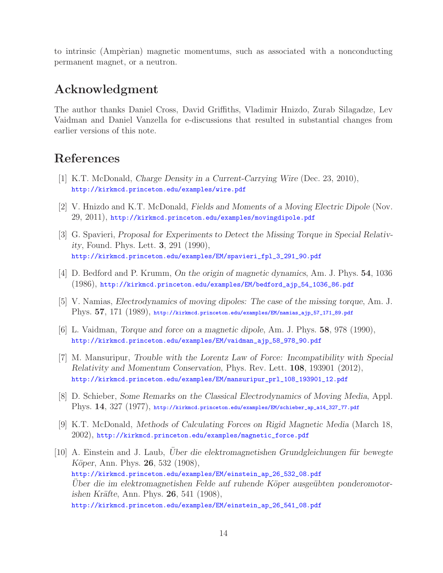to intrinsic (Ampèrian) magnetic momentums, such as associated with a nonconducting permanent magnet, or a neutron.

# **Acknowledgment**

The author thanks Daniel Cross, David Griffiths, Vladimir Hnizdo, Zurab Silagadze, Lev Vaidman and Daniel Vanzella for e-discussions that resulted in substantial changes from earlier versions of this note.

# **References**

- [1] K.T. McDonald, *Charge Density in a Current-Carrying Wire* (Dec. 23, 2010), http://kirkmcd.princeton.edu/examples/wire.pdf
- [2] V. Hnizdo and K.T. McDonald, *Fields and Moments of a Moving Electric Dipole* (Nov. 29, 2011), http://kirkmcd.princeton.edu/examples/movingdipole.pdf
- [3] G. Spavieri, *Proposal for Experiments to Detect the Missing Torque in Special Relativity*, Found. Phys. Lett. **3**, 291 (1990), http://kirkmcd.princeton.edu/examples/EM/spavieri\_fpl\_3\_291\_90.pdf
- [4] D. Bedford and P. Krumm, *On the origin of magnetic dynamics*, Am. J. Phys. **54**, 1036 (1986), http://kirkmcd.princeton.edu/examples/EM/bedford\_ajp\_54\_1036\_86.pdf
- [5] V. Namias, *Electrodynamics of moving dipoles: The case of the missing torque*, Am. J. Phys. **57**, 171 (1989), http://kirkmcd.princeton.edu/examples/EM/namias\_ajp\_57\_171\_89.pdf
- [6] L. Vaidman, *Torque and force on a magnetic dipole*, Am. J. Phys. **58**, 978 (1990), http://kirkmcd.princeton.edu/examples/EM/vaidman\_ajp\_58\_978\_90.pdf
- [7] M. Mansuripur, *Trouble with the Lorentz Law of Force: Incompatibility with Special Relativity and Momentum Conservation*, Phys. Rev. Lett. **108**, 193901 (2012), http://kirkmcd.princeton.edu/examples/EM/mansuripur\_prl\_108\_193901\_12.pdf
- [8] D. Schieber, *Some Remarks on the Classical Electrodynamics of Moving Media*, Appl. Phys. **14**, 327 (1977), http://kirkmcd.princeton.edu/examples/EM/schieber\_ap\_a14\_327\_77.pdf
- [9] K.T. McDonald, *Methods of Calculating Forces on Rigid Magnetic Media* (March 18, 2002), http://kirkmcd.princeton.edu/examples/magnetic\_force.pdf
- [10] A. Einstein and J. Laub, *Uber die elektromagnetishen Grundgleichungen für bewegte K¨oper*, Ann. Phys. **26**, 532 (1908), http://kirkmcd.princeton.edu/examples/EM/einstein\_ap\_26\_532\_08.pdf *Uber die im elektromagnetishen Felde auf ruhende K¨ ¨ oper ausge¨ubten ponderomotorishen Kr¨afte*, Ann. Phys. **26**, 541 (1908), http://kirkmcd.princeton.edu/examples/EM/einstein\_ap\_26\_541\_08.pdf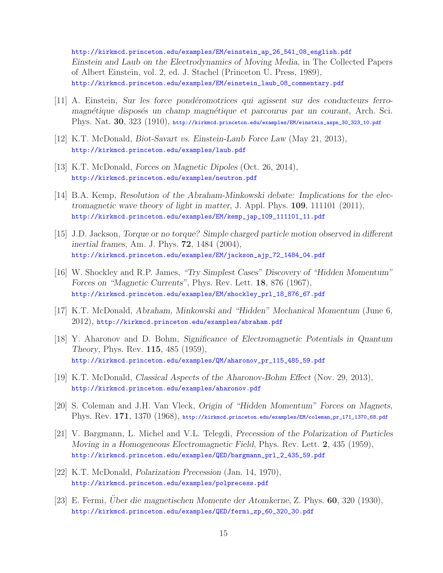http://kirkmcd.princeton.edu/examples/EM/einstein\_ap\_26\_541\_08\_english.pdf *Einstein and Laub on the Electrodynamics of Moving Media*, in The Collected Papers of Albert Einstein, vol. 2, ed. J. Stachel (Princeton U. Press, 1989), http://kirkmcd.princeton.edu/examples/EM/einstein\_laub\_08\_commentary.pdf

- [11] A. Einstein, *Sur les force pond´eromotrices qui agissent sur des conducteurs ferromagn´etique dispos´es un champ magn´etique et parcourus par un courant*, Arch. Sci. Phys. Nat. **30**, 323 (1910), http://kirkmcd.princeton.edu/examples/EM/einstein\_aspn\_30\_323\_10.pdf
- [12] K.T. McDonald, *Biot-Savart vs. Einstein-Laub Force Law* (May 21, 2013), http://kirkmcd.princeton.edu/examples/laub.pdf
- [13] K.T. McDonald, *Forces on Magnetic Dipoles* (Oct. 26, 2014), http://kirkmcd.princeton.edu/examples/neutron.pdf
- [14] B.A. Kemp, *Resolution of the Abraham-Minkowski debate: Implications for the electromagnetic wave theory of light in matter*, J. Appl. Phys. **109**, 111101 (2011), http://kirkmcd.princeton.edu/examples/EM/kemp\_jap\_109\_111101\_11.pdf
- [15] J.D. Jackson, *Torque or no torque? Simple charged particle motion observed in different inertial frames*, Am. J. Phys. **72**, 1484 (2004), http://kirkmcd.princeton.edu/examples/EM/jackson\_ajp\_72\_1484\_04.pdf
- [16] W. Shockley and R.P. James, *"Try Simplest Cases" Discovery of "Hidden Momentum" Forces on "Magnetic Currents"*, Phys. Rev. Lett. **18**, 876 (1967), http://kirkmcd.princeton.edu/examples/EM/shockley\_prl\_18\_876\_67.pdf
- [17] K.T. McDonald, *Abraham, Minkowski and "Hidden" Mechanical Momentum* (June 6, 2012), http://kirkmcd.princeton.edu/examples/abraham.pdf
- [18] Y. Aharonov and D. Bohm, *Significance of Electromagnetic Potentials in Quantum Theory*, Phys. Rev. **115**, 485 (1959), http://kirkmcd.princeton.edu/examples/QM/aharonov\_pr\_115\_485\_59.pdf
- [19] K.T. McDonald, *Classical Aspects of the Aharonov-Bohm Effect* (Nov. 29, 2013), http://kirkmcd.princeton.edu/examples/aharonov.pdf
- [20] S. Coleman and J.H. Van Vleck, *Origin of "Hidden Momentum" Forces on Magnets*, Phys. Rev. **171**, 1370 (1968), http://kirkmcd.princeton.edu/examples/EM/coleman\_pr\_171\_1370\_68.pdf
- [21] V. Bargmann, L. Michel and V.L. Telegdi, *Precession of the Polarization of Particles Moving in a Homogeneous Electromagnetic Field*, Phys. Rev. Lett. **2**, 435 (1959), http://kirkmcd.princeton.edu/examples/QED/bargmann\_prl\_2\_435\_59.pdf
- [22] K.T. McDonald, *Polarization Precession* (Jan. 14, 1970), http://kirkmcd.princeton.edu/examples/polprecess.pdf
- [23] E. Fermi, *Uber die magnetischen Momente der Atomkerne*, Z. Phys. **60**, 320 (1930), http://kirkmcd.princeton.edu/examples/QED/fermi\_zp\_60\_320\_30.pdf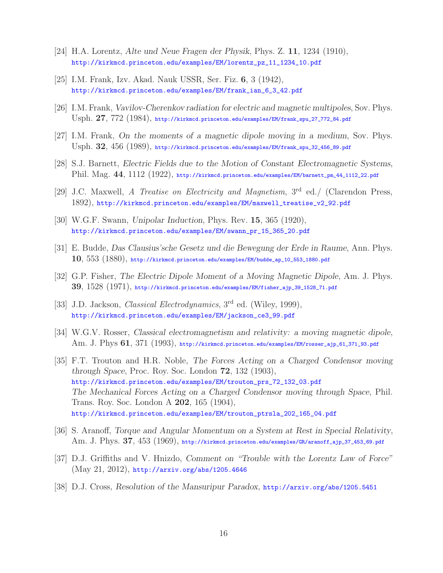- [24] H.A. Lorentz, *Alte und Neue Fragen der Physik*, Phys. Z. **11**, 1234 (1910), http://kirkmcd.princeton.edu/examples/EM/lorentz\_pz\_11\_1234\_10.pdf
- [25] I.M. Frank, Izv. Akad. Nauk USSR, Ser. Fiz. **6**, 3 (1942), http://kirkmcd.princeton.edu/examples/EM/frank\_ian\_6\_3\_42.pdf
- [26] I.M. Frank, *Vavilov-Cherenkov radiation for electric and magnetic multipoles*, Sov. Phys. Usph. **27**, 772 (1984), http://kirkmcd.princeton.edu/examples/EM/frank\_spu\_27\_772\_84.pdf
- [27] I.M. Frank, *On the moments of a magnetic dipole moving in a medium*, Sov. Phys. Usph. **32**, 456 (1989), http://kirkmcd.princeton.edu/examples/EM/frank\_spu\_32\_456\_89.pdf
- [28] S.J. Barnett, *Electric Fields due to the Motion of Constant Electromagnetic Systems*, Phil. Mag. **44**, 1112 (1922), http://kirkmcd.princeton.edu/examples/EM/barnett\_pm\_44\_1112\_22.pdf
- [29] J.C. Maxwell, *A Treatise on Electricity and Magnetism*, 3rd ed./ (Clarendon Press, 1892), http://kirkmcd.princeton.edu/examples/EM/maxwell\_treatise\_v2\_92.pdf
- [30] W.G.F. Swann, *Unipolar Induction*, Phys. Rev. **15**, 365 (1920), http://kirkmcd.princeton.edu/examples/EM/swann\_pr\_15\_365\_20.pdf
- [31] E. Budde, *Das Clausius'sche Gesetz und die Bewegung der Erde in Raume*, Ann. Phys. **10**, 553 (1880), http://kirkmcd.princeton.edu/examples/EM/budde\_ap\_10\_553\_1880.pdf
- [32] G.P. Fisher, *The Electric Dipole Moment of a Moving Magnetic Dipole*, Am. J. Phys. **39**, 1528 (1971), http://kirkmcd.princeton.edu/examples/EM/fisher\_ajp\_39\_1528\_71.pdf
- [33] J.D. Jackson, *Classical Electrodynamics*, 3rd ed. (Wiley, 1999), http://kirkmcd.princeton.edu/examples/EM/jackson\_ce3\_99.pdf
- [34] W.G.V. Rosser, *Classical electromagnetism and relativity: a moving magnetic dipole*, Am. J. Phys **61**, 371 (1993), http://kirkmcd.princeton.edu/examples/EM/rosser\_ajp\_61\_371\_93.pdf
- [35] F.T. Trouton and H.R. Noble, *The Forces Acting on a Charged Condensor moving through Space*, Proc. Roy. Soc. London **72**, 132 (1903), http://kirkmcd.princeton.edu/examples/EM/trouton\_prs\_72\_132\_03.pdf *The Mechanical Forces Acting on a Charged Condensor moving through Space*, Phil. Trans. Roy. Soc. London A **202**, 165 (1904), http://kirkmcd.princeton.edu/examples/EM/trouton\_ptrsla\_202\_165\_04.pdf
- [36] S. Aranoff, *Torque and Angular Momentum on a System at Rest in Special Relativity*, Am. J. Phys. **37**, 453 (1969), http://kirkmcd.princeton.edu/examples/GR/aranoff\_ajp\_37\_453\_69.pdf
- [37] D.J. Griffiths and V. Hnizdo, *Comment on "Trouble with the Lorentz Law of Force"* (May 21, 2012), http://arxiv.org/abs/1205.4646
- [38] D.J. Cross, *Resolution of the Mansuripur Paradox*, http://arxiv.org/abs/1205.5451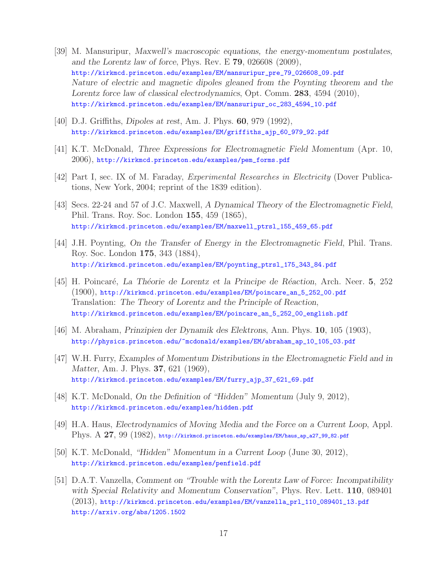- [39] M. Mansuripur, *Maxwell's macroscopic equations, the energy-momentum postulates, and the Lorentz law of force*, Phys. Rev. E **79**, 026608 (2009), http://kirkmcd.princeton.edu/examples/EM/mansuripur\_pre\_79\_026608\_09.pdf *Nature of electric and magnetic dipoles gleaned from the Poynting theorem and the Lorentz force law of classical electrodynamics*, Opt. Comm. **283**, 4594 (2010), http://kirkmcd.princeton.edu/examples/EM/mansuripur\_oc\_283\_4594\_10.pdf
- [40] D.J. Griffiths, *Dipoles at rest*, Am. J. Phys. **60**, 979 (1992), http://kirkmcd.princeton.edu/examples/EM/griffiths\_ajp\_60\_979\_92.pdf
- [41] K.T. McDonald, *Three Expressions for Electromagnetic Field Momentum* (Apr. 10, 2006), http://kirkmcd.princeton.edu/examples/pem\_forms.pdf
- [42] Part I, sec. IX of M. Faraday, *Experimental Researches in Electricity* (Dover Publications, New York, 2004; reprint of the 1839 edition).
- [43] Secs. 22-24 and 57 of J.C. Maxwell, *A Dynamical Theory of the Electromagnetic Field*, Phil. Trans. Roy. Soc. London **155**, 459 (1865), http://kirkmcd.princeton.edu/examples/EM/maxwell\_ptrsl\_155\_459\_65.pdf
- [44] J.H. Poynting, *On the Transfer of Energy in the Electromagnetic Field*, Phil. Trans. Roy. Soc. London **175**, 343 (1884), http://kirkmcd.princeton.edu/examples/EM/poynting\_ptrsl\_175\_343\_84.pdf
- [45] H. Poincar´e, *La Th´eorie de Lorentz et la Principe de R´eaction*, Arch. Neer. **5**, 252 (1900), http://kirkmcd.princeton.edu/examples/EM/poincare\_an\_5\_252\_00.pdf Translation: *The Theory of Lorentz and the Principle of Reaction*, http://kirkmcd.princeton.edu/examples/EM/poincare\_an\_5\_252\_00\_english.pdf
- [46] M. Abraham, *Prinzipien der Dynamik des Elektrons*, Ann. Phys. **10**, 105 (1903), http://physics.princeton.edu/~mcdonald/examples/EM/abraham\_ap\_10\_105\_03.pdf
- [47] W.H. Furry, *Examples of Momentum Distributions in the Electromagnetic Field and in Matter*, Am. J. Phys. **37**, 621 (1969), http://kirkmcd.princeton.edu/examples/EM/furry\_ajp\_37\_621\_69.pdf
- [48] K.T. McDonald, *On the Definition of "Hidden" Momentum* (July 9, 2012), http://kirkmcd.princeton.edu/examples/hidden.pdf
- [49] H.A. Haus, *Electrodynamics of Moving Media and the Force on a Current Loop*, Appl. Phys. A **27**, 99 (1982), http://kirkmcd.princeton.edu/examples/EM/haus\_ap\_a27\_99\_82.pdf
- [50] K.T. McDonald, *"Hidden" Momentum in a Current Loop* (June 30, 2012), http://kirkmcd.princeton.edu/examples/penfield.pdf
- [51] D.A.T. Vanzella, *Comment on "Trouble with the Lorentz Law of Force: Incompatibility with Special Relativity and Momentum Conservation"*, Phys. Rev. Lett. **110**, 089401 (2013), http://kirkmcd.princeton.edu/examples/EM/vanzella\_prl\_110\_089401\_13.pdf http://arxiv.org/abs/1205.1502